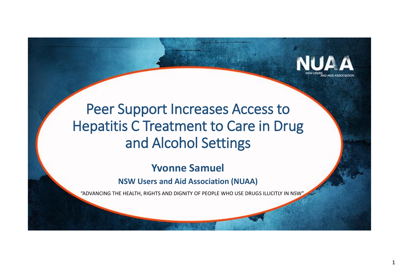

### Peer Support Increases Access to Hepatitis C Treatment to Care in Drug and Alcohol Settings

### **Yvonne Samuel**

#### **NSW Users and Aid Association (NUAA)**

"ADVANCING THE HEALTH, RIGHTS AND DIGNITY OF PEOPLE WHO USE DRUGS ILLICITLY IN NSW"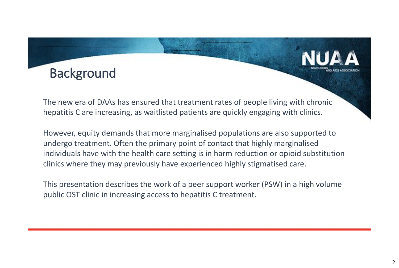

The new era of DAAs has ensured that treatment rates of people living with chronic hepatitis C are increasing, as waitlisted patients are quickly engaging with clinics.

However, equity demands that more marginalised populations are also supported to undergo treatment. Often the primary point of contact that highly marginalised individuals have with the health care setting is in harm reduction or opioid substitution clinics where they may previously have experienced highly stigmatised care.

This presentation describes the work of a peer support worker (PSW) in a high volume public OST clinic in increasing access to hepatitis C treatment.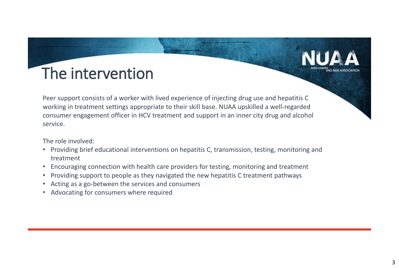# The intervention

Peer support consists of a worker with lived experience of injecting drug use and hepatitis C working in treatment settings appropriate to their skill base. NUAA upskilled a well-regarded consumer engagement officer in HCV treatment and support in an inner city drug and alcohol service.

The role involved:

- Providing brief educational interventions on hepatitis C, transmission, testing, monitoring and treatment
- Encouraging connection with health care providers for testing, monitoring and treatment
- Providing support to people as they navigated the new hepatitis C treatment pathways
- Acting as a go-between the services and consumers
- Advocating for consumers where required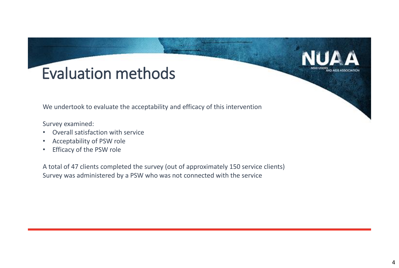### Evaluation methods

We undertook to evaluate the acceptability and efficacy of this intervention

Survey examined:

- Overall satisfaction with service
- Acceptability of PSW role
- Efficacy of the PSW role

A total of 47 clients completed the survey (out of approximately 150 service clients) Survey was administered by a PSW who was not connected with the service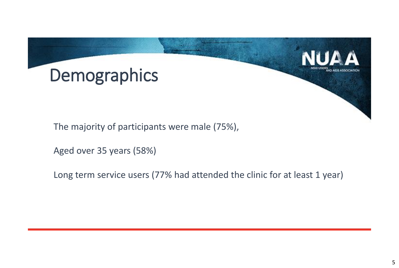

The majority of participants were male (75%),

Aged over 35 years (58%)

Long term service users (77% had attended the clinic for at least 1 year)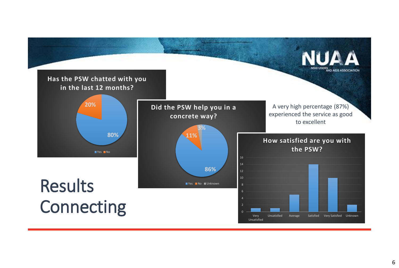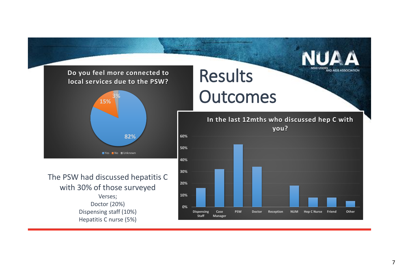

**Dispensing Staff**

**Case Manager** **PSW Doctor Reception NUM Hep C Nurse Friend Other**

Dispensing staff (10%) Hepatitis C nurse (5%)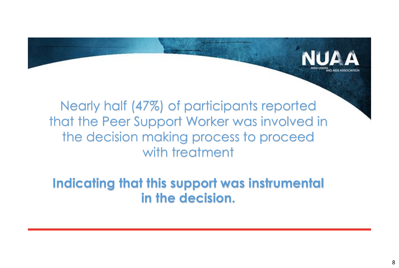Nearly half (47%) of participants reported that the Peer Support Worker was involved in the decision making process to proceed with treatment

**Indicating that this support was instrumental in the decision.**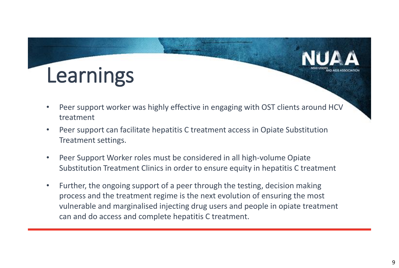

- Peer support worker was highly effective in engaging with OST clients around HCV treatment
- Peer support can facilitate hepatitis C treatment access in Opiate Substitution Treatment settings.
- Peer Support Worker roles must be considered in all high-volume Opiate Substitution Treatment Clinics in order to ensure equity in hepatitis C treatment
- Further, the ongoing support of a peer through the testing, decision making process and the treatment regime is the next evolution of ensuring the most vulnerable and marginalised injecting drug users and people in opiate treatment can and do access and complete hepatitis C treatment.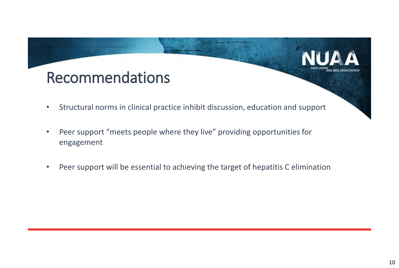## Recommendations

- Structural norms in clinical practice inhibit discussion, education and support
- Peer support "meets people where they live" providing opportunities for engagement
- Peer support will be essential to achieving the target of hepatitis C elimination